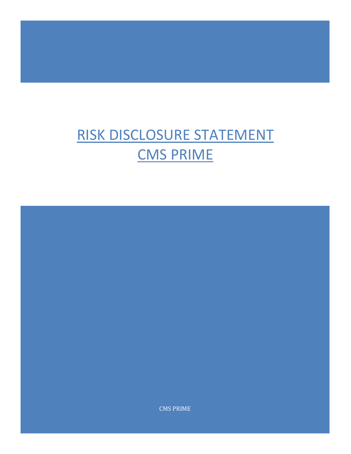# RISK DISCLOSURE STATEMENT CMS PRIME

CMS PRIME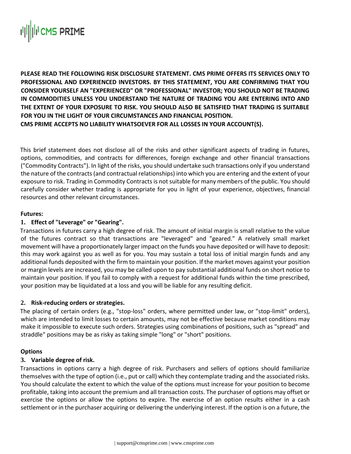

**PLEASE READ THE FOLLOWING RISK DISCLOSURE STATEMENT. CMS PRIME OFFERS ITS SERVICES ONLY TO PROFESSIONAL AND EXPERIENCED INVESTORS. BY THIS STATEMENT, YOU ARE CONFIRMING THAT YOU CONSIDER YOURSELF AN "EXPERIENCED" OR "PROFESSIONAL" INVESTOR; YOU SHOULD NOT BE TRADING IN COMMODITIES UNLESS YOU UNDERSTAND THE NATURE OF TRADING YOU ARE ENTERING INTO AND THE EXTENT OF YOUR EXPOSURE TO RISK. YOU SHOULD ALSO BE SATISFIED THAT TRADING IS SUITABLE FOR YOU IN THE LIGHT OF YOUR CIRCUMSTANCES AND FINANCIAL POSITION. CMS PRIME ACCEPTS NO LIABILITY WHATSOEVER FOR ALL LOSSES IN YOUR ACCOUNT(S).** 

This brief statement does not disclose all of the risks and other significant aspects of trading in futures, options, commodities, and contracts for differences, foreign exchange and other financial transactions ("Commodity Contracts"). In light of the risks, you should undertake such transactions only if you understand the nature of the contracts (and contractual relationships) into which you are entering and the extent of your exposure to risk. Trading in Commodity Contracts is not suitable for many members of the public. You should carefully consider whether trading is appropriate for you in light of your experience, objectives, financial resources and other relevant circumstances.

#### **Futures:**

# **1. Effect of "Leverage" or "Gearing".**

Transactions in futures carry a high degree of risk. The amount of initial margin is small relative to the value of the futures contract so that transactions are "leveraged" and "geared." A relatively small market movement will have a proportionately larger impact on the funds you have deposited or will have to deposit: this may work against you as well as for you. You may sustain a total loss of initial margin funds and any additional funds deposited with the firm to maintain your position. If the market moves against your position or margin levels are increased, you may be called upon to pay substantial additional funds on short notice to maintain your position. If you fail to comply with a request for additional funds within the time prescribed, your position may be liquidated at a loss and you will be liable for any resulting deficit.

# **2. Risk-reducing orders or strategies.**

The placing of certain orders (e.g., "stop-loss" orders, where permitted under law, or "stop-limit" orders), which are intended to limit losses to certain amounts, may not be effective because market conditions may make it impossible to execute such orders. Strategies using combinations of positions, such as "spread" and straddle" positions may be as risky as taking simple "long" or "short" positions.

# **Options**

# **3. Variable degree of risk.**

Transactions in options carry a high degree of risk. Purchasers and sellers of options should familiarize themselves with the type of option (i.e., put or call) which they contemplate trading and the associated risks. You should calculate the extent to which the value of the options must increase for your position to become profitable, taking into account the premium and all transaction costs. The purchaser of options may offset or exercise the options or allow the options to expire. The exercise of an option results either in a cash settlement or in the purchaser acquiring or delivering the underlying interest. If the option is on a future, the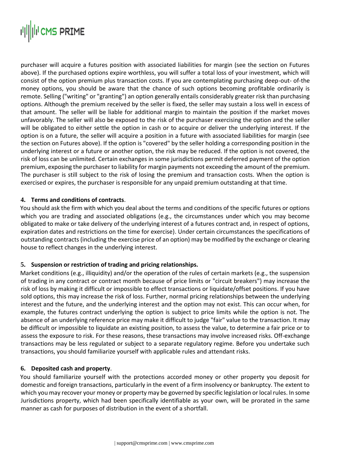

purchaser will acquire a futures position with associated liabilities for margin (see the section on Futures above). If the purchased options expire worthless, you will suffer a total loss of your investment, which will consist of the option premium plus transaction costs. If you are contemplating purchasing deep-out- of-the money options, you should be aware that the chance of such options becoming profitable ordinarily is remote. Selling ("writing" or "granting") an option generally entails considerably greater risk than purchasing options. Although the premium received by the seller is fixed, the seller may sustain a loss well in excess of that amount. The seller will be liable for additional margin to maintain the position if the market moves unfavorably. The seller will also be exposed to the risk of the purchaser exercising the option and the seller will be obligated to either settle the option in cash or to acquire or deliver the underlying interest. If the option is on a future, the seller will acquire a position in a future with associated liabilities for margin (see the section on Futures above). If the option is "covered" by the seller holding a corresponding position in the underlying interest or a future or another option, the risk may be reduced. If the option is not covered, the risk of loss can be unlimited. Certain exchanges in some jurisdictions permit deferred payment of the option premium, exposing the purchaser to liability for margin payments not exceeding the amount of the premium. The purchaser is still subject to the risk of losing the premium and transaction costs. When the option is exercised or expires, the purchaser is responsible for any unpaid premium outstanding at that time.

## **4. Terms and conditions of contracts**.

You should ask the firm with which you deal about the terms and conditions of the specific futures or options which you are trading and associated obligations (e.g., the circumstances under which you may become obligated to make or take delivery of the underlying interest of a futures contract and, in respect of options, expiration dates and restrictions on the time for exercise). Under certain circumstances the specifications of outstanding contracts (including the exercise price of an option) may be modified by the exchange or clearing house to reflect changes in the underlying interest.

# **5. Suspension or restriction of trading and pricing relationships.**

Market conditions (e.g., illiquidity) and/or the operation of the rules of certain markets (e.g., the suspension of trading in any contract or contract month because of price limits or "circuit breakers") may increase the risk of loss by making it difficult or impossible to effect transactions or liquidate/offset positions. If you have sold options, this may increase the risk of loss. Further, normal pricing relationships between the underlying interest and the future, and the underlying interest and the option may not exist. This can occur when, for example, the futures contract underlying the option is subject to price limits while the option is not. The absence of an underlying reference price may make it difficult to judge "fair" value to the transaction. It may be difficult or impossible to liquidate an existing position, to assess the value, to determine a fair price or to assess the exposure to risk. For these reasons, these transactions may involve increased risks. Off-exchange transactions may be less regulated or subject to a separate regulatory regime. Before you undertake such transactions, you should familiarize yourself with applicable rules and attendant risks.

# **6. Deposited cash and property**.

You should familiarize yourself with the protections accorded money or other property you deposit for domestic and foreign transactions, particularly in the event of a firm insolvency or bankruptcy. The extent to which you may recover your money or property may be governed by specific legislation or local rules. In some Jurisdictions property, which had been specifically identifiable as your own, will be prorated in the same manner as cash for purposes of distribution in the event of a shortfall.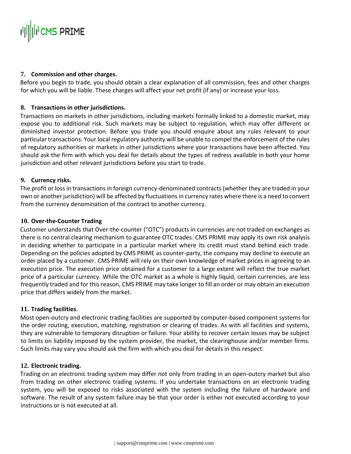

## **7. Commission and other charges.**

Before you begin to trade, you should obtain a clear explanation of all commission, fees and other charges for which you will be liable. These charges will affect your net profit (if any) or increase your loss.

## **8. Transactions in other jurisdictions.**

Transactions on markets in other jurisdictions, including markets formally linked to a domestic market, may expose you to additional risk. Such markets may be subject to regulation, which may offer different or diminished investor protection. Before you trade you should enquire about any rules relevant to your particular transactions. Your local regulatory authority will be unable to compel the enforcement of the rules of regulatory authorities or markets in other jurisdictions where your transactions have been affected. You should ask the firm with which you deal for details about the types of redress available in both your home jurisdiction and other relevant jurisdictions before you start to trade.

## **9. Currency risks.**

The profit or loss in transactions in foreign currency-denominated contracts (whether they are traded in your own or another jurisdiction) will be affected by fluctuations in currency rates where there is a need to convert from the currency denomination of the contract to another currency.

## **10. Over-the-Counter Trading**

Customer understands that Over-the-counter ("OTC") products in currencies are not traded on exchanges as there is no central clearing mechanism to guarantee OTC trades. CMS PRIME may apply its own risk analysis in deciding whether to participate in a particular market where its credit must stand behind each trade. Depending on the policies adopted by CMS PRIME as counter-party, the company may decline to execute an order placed by a customer. CMS PRIME will rely on their own knowledge of market prices in agreeing to an execution price. The execution price obtained for a customer to a large extent will reflect the true market price of a particular currency. While the OTC market as a whole is highly liquid, certain currencies, are less frequently traded and for this reason, CMS PRIME may take longer to fill an order or may obtain an execution price that differs widely from the market.

#### **11. Trading facilities**.

Most open-outcry and electronic trading facilities are supported by computer-based component systems for the order routing, execution, matching, registration or clearing of trades. As with all facilities and systems, they are vulnerable to temporary disruption or failure. Your ability to recover certain losses may be subject to limits on liability imposed by the system provider, the market, the clearinghouse and/or member firms. Such limits may vary you should ask the firm with which you deal for details in this respect.

#### **12. Electronic trading.**

Trading on an electronic trading system may differ not only from trading in an open-outcry market but also from trading on other electronic trading systems. If you undertake transactions on an electronic trading system, you will be exposed to risks associated with the system including the failure of hardware and software. The result of any system failure may be that your order is either not executed according to your instructions or is not executed at all.